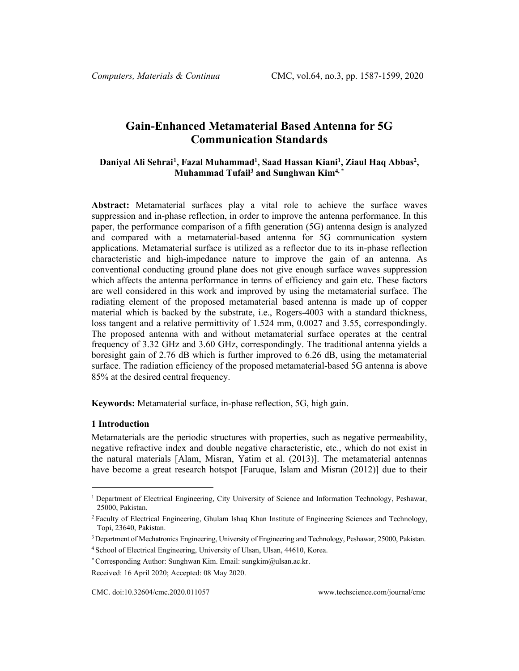# **Gain-Enhanced Metamaterial Based Antenna for 5G Communication Standards**

# Daniyal Ali Sehrai<sup>[1](#page-0-0)</sup>, Fazal Muhammad<sup>1</sup>, Saad Hassan Kiani<sup>1</sup>, Ziaul Haq Abbas<sup>2</sup>, **Muhammad Tufail3 and Sunghwan Kim4, \***

**Abstract:** Metamaterial surfaces play a vital role to achieve the surface waves suppression and in-phase reflection, in order to improve the antenna performance. In this paper, the performance comparison of a fifth generation (5G) antenna design is analyzed and compared with a metamaterial-based antenna for 5G communication system applications. Metamaterial surface is utilized as a reflector due to its in-phase reflection characteristic and high-impedance nature to improve the gain of an antenna. As conventional conducting ground plane does not give enough surface waves suppression which affects the antenna performance in terms of efficiency and gain etc. These factors are well considered in this work and improved by using the metamaterial surface. The radiating element of the proposed metamaterial based antenna is made up of copper material which is backed by the substrate, i.e., Rogers-4003 with a standard thickness, loss tangent and a relative permittivity of 1.524 mm, 0.0027 and 3.55, correspondingly. The proposed antenna with and without metamaterial surface operates at the central frequency of 3.32 GHz and 3.60 GHz, correspondingly. The traditional antenna yields a boresight gain of 2.76 dB which is further improved to 6.26 dB, using the metamaterial surface. The radiation efficiency of the proposed metamaterial-based 5G antenna is above 85% at the desired central frequency.

**Keywords:** Metamaterial surface, in-phase reflection, 5G, high gain.

# **1 Introduction**

Metamaterials are the periodic structures with properties, such as negative permeability, negative refractive index and double negative characteristic, etc., which do not exist in the natural materials [Alam, Misran, Yatim et al. (2013)]. The metamaterial antennas have become a great research hotspot [Faruque, Islam and Misran (2012)] due to their

<span id="page-0-0"></span><sup>1</sup> Department of Electrical Engineering, City University of Science and Information Technology, Peshawar, 25000, Pakistan.

<sup>2</sup> Faculty of Electrical Engineering, Ghulam Ishaq Khan Institute of Engineering Sciences and Technology, Topi, 23640, Pakistan.

<sup>3</sup>Department of Mechatronics Engineering, University of Engineering and Technology, Peshawar, 25000, Pakistan.

<sup>4</sup> School of Electrical Engineering, University of Ulsan, Ulsan, 44610, Korea.

<sup>\*</sup> Corresponding Author: Sunghwan Kim. Email[: sungkim@ulsan.ac.kr.](mailto:sungkim@ulsan.ac.kr)

Received: 16 April 2020; Accepted: 08 May 2020.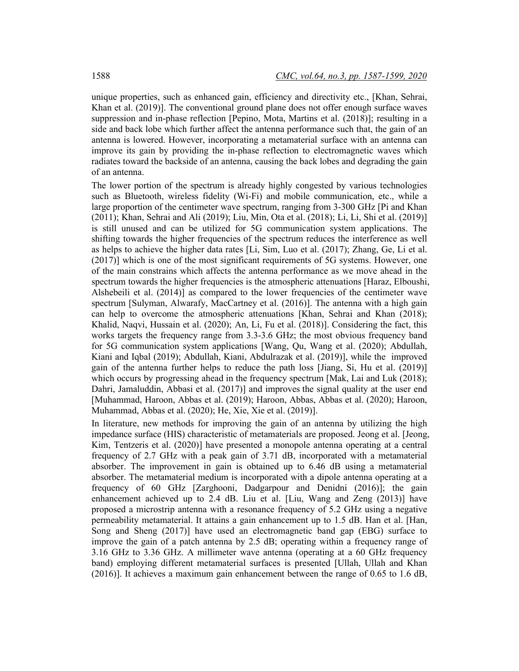unique properties, such as enhanced gain, efficiency and directivity etc., [Khan, Sehrai, Khan et al. (2019)]. The conventional ground plane does not offer enough surface waves suppression and in-phase reflection [Pepino, Mota, Martins et al. (2018)]; resulting in a side and back lobe which further affect the antenna performance such that, the gain of an antenna is lowered. However, incorporating a metamaterial surface with an antenna can improve its gain by providing the in-phase reflection to electromagnetic waves which radiates toward the backside of an antenna, causing the back lobes and degrading the gain of an antenna.

The lower portion of the spectrum is already highly congested by various technologies such as Bluetooth, wireless fidelity (Wi-Fi) and mobile communication, etc., while a large proportion of the centimeter wave spectrum, ranging from 3-300 GHz [Pi and Khan (2011); Khan, Sehrai and Ali (2019); Liu, Min, Ota et al. (2018); Li, Li, Shi et al. (2019)] is still unused and can be utilized for 5G communication system applications. The shifting towards the higher frequencies of the spectrum reduces the interference as well as helps to achieve the higher data rates [Li, Sim, Luo et al. (2017); Zhang, Ge, Li et al. (2017)] which is one of the most significant requirements of 5G systems. However, one of the main constrains which affects the antenna performance as we move ahead in the spectrum towards the higher frequencies is the atmospheric attenuations [Haraz, Elboushi, Alshebeili et al. (2014)] as compared to the lower frequencies of the centimeter wave spectrum [Sulyman, Alwarafy, MacCartney et al. (2016)]. The antenna with a high gain can help to overcome the atmospheric attenuations [Khan, Sehrai and Khan (2018); Khalid, Naqvi, Hussain et al. (2020); An, Li, Fu et al. (2018)]. Considering the fact, this works targets the frequency range from 3.3-3.6 GHz; the most obvious frequency band for 5G communication system applications [Wang, Qu, Wang et al. (2020); Abdullah, Kiani and Iqbal (2019); Abdullah, Kiani, Abdulrazak et al. (2019)], while the improved gain of the antenna further helps to reduce the path loss [Jiang, Si, Hu et al. (2019)] which occurs by progressing ahead in the frequency spectrum [Mak, Lai and Luk (2018); Dahri, Jamaluddin, Abbasi et al. (2017)] and improves the signal quality at the user end [Muhammad, Haroon, Abbas et al. (2019); Haroon, Abbas, Abbas et al. (2020); Haroon, Muhammad, Abbas et al. (2020); He, Xie, Xie et al. (2019)].

In literature, new methods for improving the gain of an antenna by utilizing the high impedance surface (HIS) characteristic of metamaterials are proposed. Jeong et al. [Jeong, Kim, Tentzeris et al. (2020)] have presented a monopole antenna operating at a central frequency of 2.7 GHz with a peak gain of 3.71 dB, incorporated with a metamaterial absorber. The improvement in gain is obtained up to 6.46 dB using a metamaterial absorber. The metamaterial medium is incorporated with a dipole antenna operating at a frequency of 60 GHz [Zarghooni, Dadgarpour and Denidni (2016)]; the gain enhancement achieved up to 2.4 dB. Liu et al. [Liu, Wang and Zeng (2013)] have proposed a microstrip antenna with a resonance frequency of 5.2 GHz using a negative permeability metamaterial. It attains a gain enhancement up to 1.5 dB. Han et al. [Han, Song and Sheng (2017)] have used an electromagnetic band gap (EBG) surface to improve the gain of a patch antenna by 2.5 dB; operating within a frequency range of 3.16 GHz to 3.36 GHz. A millimeter wave antenna (operating at a 60 GHz frequency band) employing different metamaterial surfaces is presented [Ullah, Ullah and Khan (2016)]. It achieves a maximum gain enhancement between the range of 0.65 to 1.6 dB,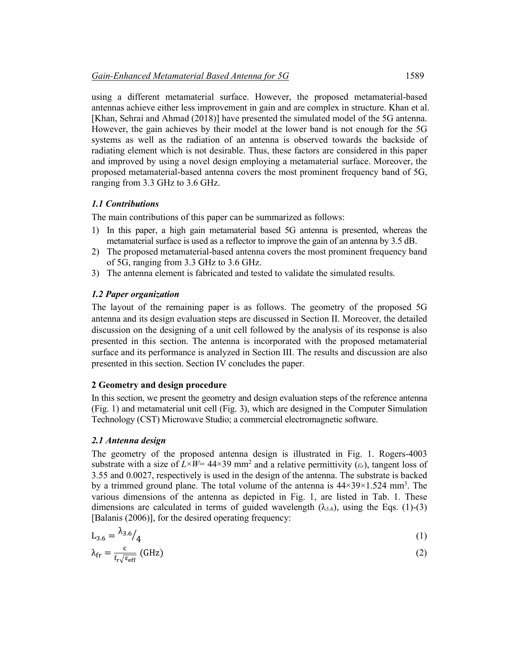using a different metamaterial surface. However, the proposed metamaterial-based antennas achieve either less improvement in gain and are complex in structure. Khan et al. [Khan, Sehrai and Ahmad (2018)] have presented the simulated model of the 5G antenna. However, the gain achieves by their model at the lower band is not enough for the 5G systems as well as the radiation of an antenna is observed towards the backside of radiating element which is not desirable. Thus, these factors are considered in this paper and improved by using a novel design employing a metamaterial surface. Moreover, the proposed metamaterial-based antenna covers the most prominent frequency band of 5G, ranging from 3.3 GHz to 3.6 GHz.

### *1.1 Contributions*

The main contributions of this paper can be summarized as follows:

- 1) In this paper, a high gain metamaterial based 5G antenna is presented, whereas the metamaterial surface is used as a reflector to improve the gain of an antenna by 3.5 dB.
- 2) The proposed metamaterial-based antenna covers the most prominent frequency band of 5G, ranging from 3.3 GHz to 3.6 GHz.
- 3) The antenna element is fabricated and tested to validate the simulated results.

## *1.2 Paper organization*

The layout of the remaining paper is as follows. The geometry of the proposed 5G antenna and its design evaluation steps are discussed in Section II. Moreover, the detailed discussion on the designing of a unit cell followed by the analysis of its response is also presented in this section. The antenna is incorporated with the proposed metamaterial surface and its performance is analyzed in Section III. The results and discussion are also presented in this section. Section IV concludes the paper.

### **2 Geometry and design procedure**

In this section, we present the geometry and design evaluation steps of the reference antenna (Fig. 1) and metamaterial unit cell (Fig. 3), which are designed in the Computer Simulation Technology (CST) Microwave Studio; a commercial electromagnetic software.

#### *2.1 Antenna design*

The geometry of the proposed antenna design is illustrated in Fig. 1. Rogers-4003 substrate with a size of  $L\times W = 44\times39$  mm<sup>2</sup> and a relative permittivity  $(\varepsilon_r)$ , tangent loss of 3.55 and 0.0027, respectively is used in the design of the antenna. The substrate is backed by a trimmed ground plane. The total volume of the antenna is  $44 \times 39 \times 1.524$  mm<sup>3</sup>. The various dimensions of the antenna as depicted in Fig. 1, are listed in Tab. 1. These dimensions are calculated in terms of guided wavelength  $(\lambda_{3.6})$ , using the Eqs. (1)-(3) [Balanis (2006)], for the desired operating frequency:

$$
L_{3.6} = \lambda_{3.6} / \lambda_4 \tag{1}
$$

$$
\lambda_{\rm fr} = \frac{c}{f_{\rm r}\sqrt{\varepsilon_{\rm eff}}} \text{ (GHz)}\tag{2}
$$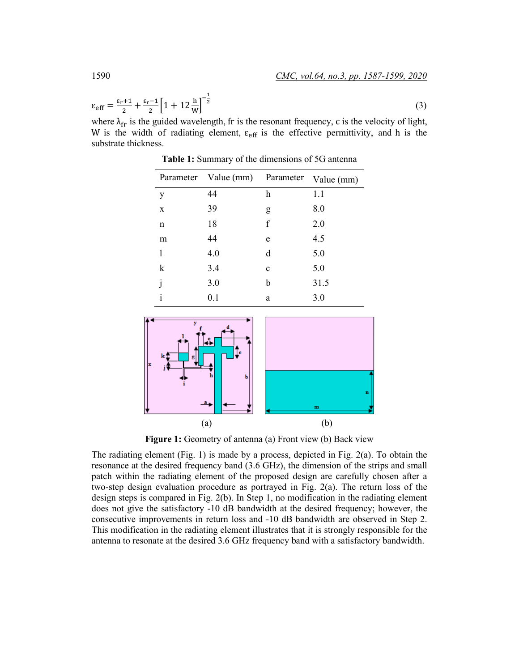$$
\varepsilon_{\rm eff} = \frac{\varepsilon_{\rm r} + 1}{2} + \frac{\varepsilon_{\rm r} - 1}{2} \left[ 1 + 12 \frac{\rm h}{\rm w} \right]^{-\frac{1}{2}} \tag{3}
$$

where  $\lambda_{fr}$  is the guided wavelength, fr is the resonant frequency, c is the velocity of light, W is the width of radiating element,  $\varepsilon_{\text{eff}}$  is the effective permittivity, and h is the substrate thickness.

|   | Parameter Value (mm) | Parameter | Value (mm) |
|---|----------------------|-----------|------------|
| y | 44                   | h         | 1.1        |
| X | 39                   | g         | 8.0        |
| n | 18                   | f         | 2.0        |
| m | 44                   | e         | 4.5        |
| 1 | 4.0                  | d         | 5.0        |
| k | 3.4                  | c         | 5.0        |
| j | 3.0                  | b         | 31.5       |
| i | 0.1                  | a         | 3.0        |

**Table 1:** Summary of the dimensions of 5G antenna



**Figure 1:** Geometry of antenna (a) Front view (b) Back view

The radiating element (Fig. 1) is made by a process, depicted in Fig. 2(a). To obtain the resonance at the desired frequency band (3.6 GHz), the dimension of the strips and small patch within the radiating element of the proposed design are carefully chosen after a two-step design evaluation procedure as portrayed in Fig. 2(a). The return loss of the design steps is compared in Fig. 2(b). In Step 1, no modification in the radiating element does not give the satisfactory -10 dB bandwidth at the desired frequency; however, the consecutive improvements in return loss and -10 dB bandwidth are observed in Step 2. This modification in the radiating element illustrates that it is strongly responsible for the antenna to resonate at the desired 3.6 GHz frequency band with a satisfactory bandwidth.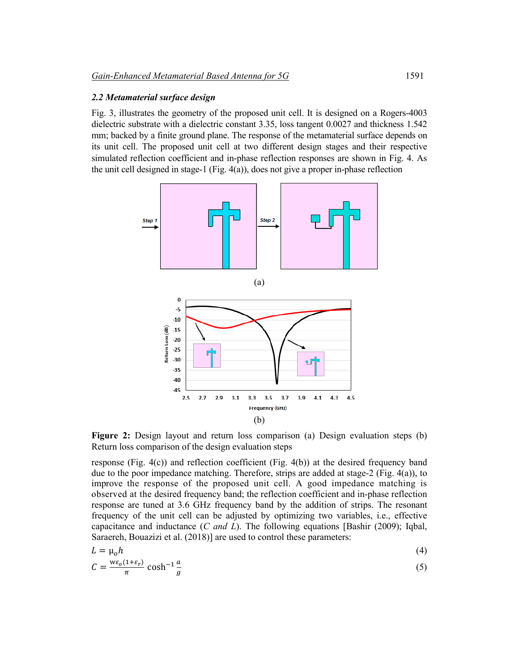### *2.2 Metamaterial surface design*

Fig. 3, illustrates the geometry of the proposed unit cell. It is designed on a Rogers-4003 dielectric substrate with a dielectric constant 3.35, loss tangent 0.0027 and thickness 1.542 mm; backed by a finite ground plane. The response of the metamaterial surface depends on its unit cell. The proposed unit cell at two different design stages and their respective simulated reflection coefficient and in-phase reflection responses are shown in Fig. 4. As the unit cell designed in stage-1 (Fig. 4(a)), does not give a proper in-phase reflection



**Figure 2:** Design layout and return loss comparison (a) Design evaluation steps (b) Return loss comparison of the design evaluation steps

response (Fig.  $4(c)$ ) and reflection coefficient (Fig.  $4(b)$ ) at the desired frequency band due to the poor impedance matching. Therefore, strips are added at stage-2 (Fig. 4(a)), to improve the response of the proposed unit cell. A good impedance matching is observed at the desired frequency band; the reflection coefficient and in-phase reflection response are tuned at 3.6 GHz frequency band by the addition of strips. The resonant frequency of the unit cell can be adjusted by optimizing two variables, i.e., effective capacitance and inductance (*C and L*). The following equations [Bashir (2009); Iqbal, Saraereh, Bouazizi et al. (2018)] are used to control these parameters:

$$
L = \mu_0 h \tag{4}
$$

$$
C = \frac{w\varepsilon_o(1+\varepsilon_r)}{\pi} \cosh^{-1}\frac{a}{g} \tag{5}
$$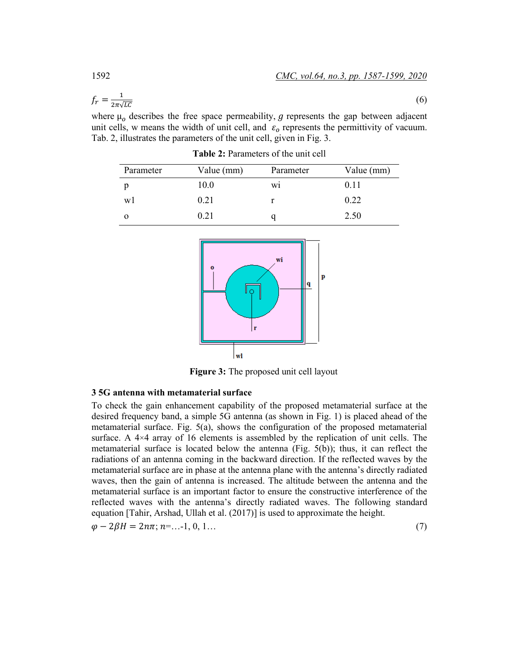$$
f_r = \frac{1}{2\pi\sqrt{LC}}\tag{6}
$$

where  $\mu_0$  describes the free space permeability, g represents the gap between adjacent unit cells, w means the width of unit cell, and  $\varepsilon_0$  represents the permittivity of vacuum. Tab. 2, illustrates the parameters of the unit cell, given in Fig. 3.

| Parameter | Value (mm) | Parameter | Value (mm) |
|-----------|------------|-----------|------------|
|           | 10.0       | W1        | 0.11       |
| w         | 0.21       |           | 0.22       |
|           | 0.21       |           | 2.50       |

**Table 2:** Parameters of the unit cell



**Figure 3:** The proposed unit cell layout

### **3 5G antenna with metamaterial surface**

To check the gain enhancement capability of the proposed metamaterial surface at the desired frequency band, a simple 5G antenna (as shown in Fig. 1) is placed ahead of the metamaterial surface. Fig. 5(a), shows the configuration of the proposed metamaterial surface. A  $4\times4$  array of 16 elements is assembled by the replication of unit cells. The metamaterial surface is located below the antenna (Fig. 5(b)); thus, it can reflect the radiations of an antenna coming in the backward direction. If the reflected waves by the metamaterial surface are in phase at the antenna plane with the antenna's directly radiated waves, then the gain of antenna is increased. The altitude between the antenna and the metamaterial surface is an important factor to ensure the constructive interference of the reflected waves with the antenna's directly radiated waves. The following standard equation [Tahir, Arshad, Ullah et al. (2017)] is used to approximate the height.

 $\varphi - 2\beta H = 2n\pi; n = ...1, 0, 1...$  (7)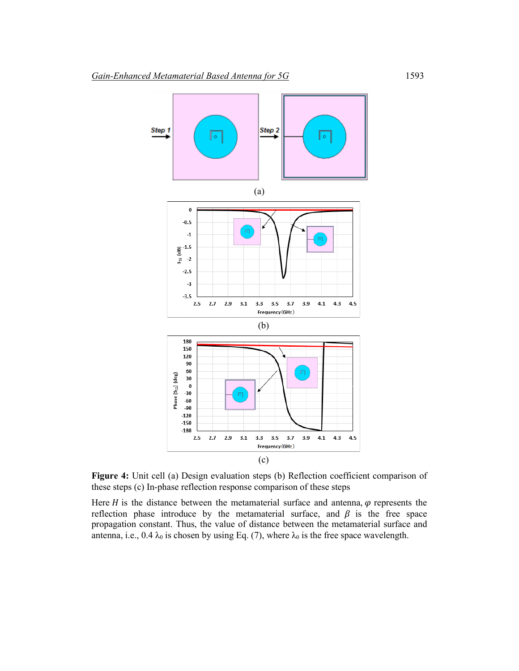

**Figure 4:** Unit cell (a) Design evaluation steps (b) Reflection coefficient comparison of these steps (c) In-phase reflection response comparison of these steps

Here  $H$  is the distance between the metamaterial surface and antenna,  $\varphi$  represents the reflection phase introduce by the metamaterial surface, and  $\beta$  is the free space propagation constant. Thus, the value of distance between the metamaterial surface and antenna, i.e.,  $0.4 \lambda_0$  is chosen by using Eq. (7), where  $\lambda_0$  is the free space wavelength.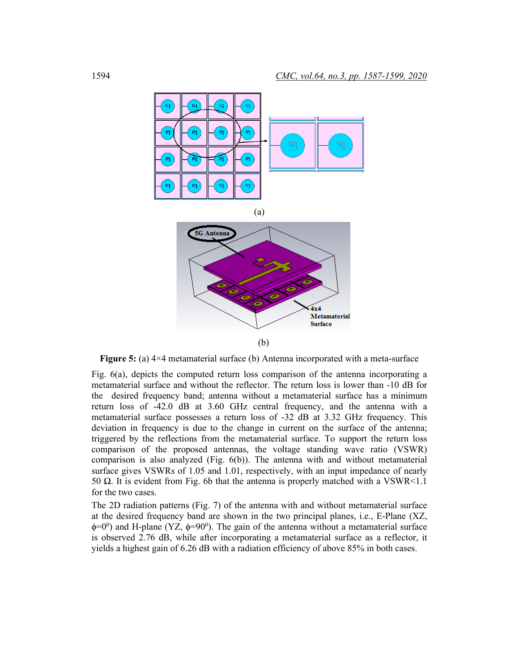

**Figure 5:** (a) 4×4 metamaterial surface (b) Antenna incorporated with a meta-surface

Fig. 6(a), depicts the computed return loss comparison of the antenna incorporating a metamaterial surface and without the reflector. The return loss is lower than -10 dB for the desired frequency band; antenna without a metamaterial surface has a minimum return loss of -42.0 dB at 3.60 GHz central frequency, and the antenna with a metamaterial surface possesses a return loss of -32 dB at 3.32 GHz frequency. This deviation in frequency is due to the change in current on the surface of the antenna; triggered by the reflections from the metamaterial surface. To support the return loss comparison of the proposed antennas, the voltage standing wave ratio (VSWR) comparison is also analyzed (Fig. 6(b)). The antenna with and without metamaterial surface gives VSWRs of 1.05 and 1.01, respectively, with an input impedance of nearly 50  $\Omega$ . It is evident from Fig. 6b that the antenna is properly matched with a VSWR<1.1 for the two cases.

The 2D radiation patterns (Fig. 7) of the antenna with and without metamaterial surface at the desired frequency band are shown in the two principal planes, i.e., E-Plane (XZ,  $\phi$ =0<sup>0</sup>) and H-plane (YZ,  $\phi$ =90<sup>0</sup>). The gain of the antenna without a metamaterial surface is observed 2.76 dB, while after incorporating a metamaterial surface as a reflector, it yields a highest gain of 6.26 dB with a radiation efficiency of above 85% in both cases.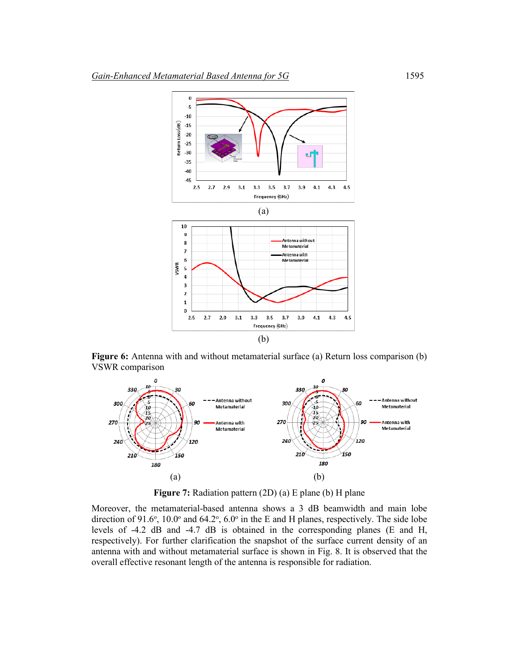

**Figure 6:** Antenna with and without metamaterial surface (a) Return loss comparison (b) VSWR comparison



**Figure 7:** Radiation pattern (2D) (a) E plane (b) H plane

Moreover, the metamaterial-based antenna shows a 3 dB beamwidth and main lobe direction of 91.6°, 10.0° and 64.2°, 6.0° in the E and H planes, respectively. The side lobe levels of -4.2 dB and -4.7 dB is obtained in the corresponding planes (E and H, respectively). For further clarification the snapshot of the surface current density of an antenna with and without metamaterial surface is shown in Fig. 8. It is observed that the overall effective resonant length of the antenna is responsible for radiation.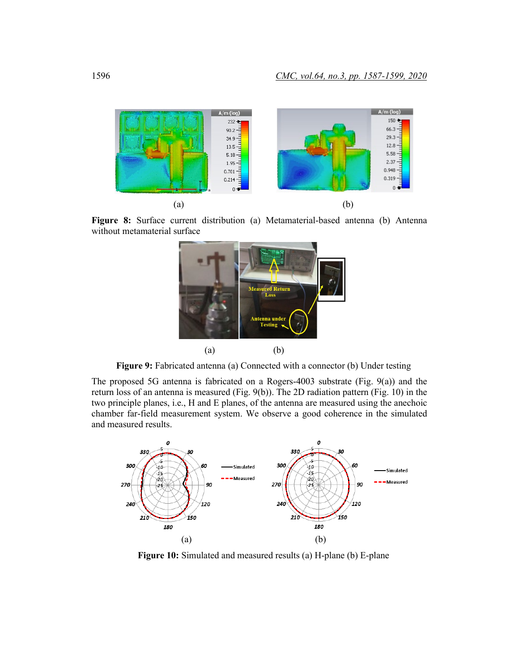

**Figure 8:** Surface current distribution (a) Metamaterial-based antenna (b) Antenna without metamaterial surface



**Figure 9:** Fabricated antenna (a) Connected with a connector (b) Under testing

The proposed 5G antenna is fabricated on a Rogers-4003 substrate (Fig. 9(a)) and the return loss of an antenna is measured (Fig. 9(b)). The 2D radiation pattern (Fig. 10) in the two principle planes, i.e., H and E planes, of the antenna are measured using the anechoic chamber far-field measurement system. We observe a good coherence in the simulated and measured results.



**Figure 10:** Simulated and measured results (a) H-plane (b) E-plane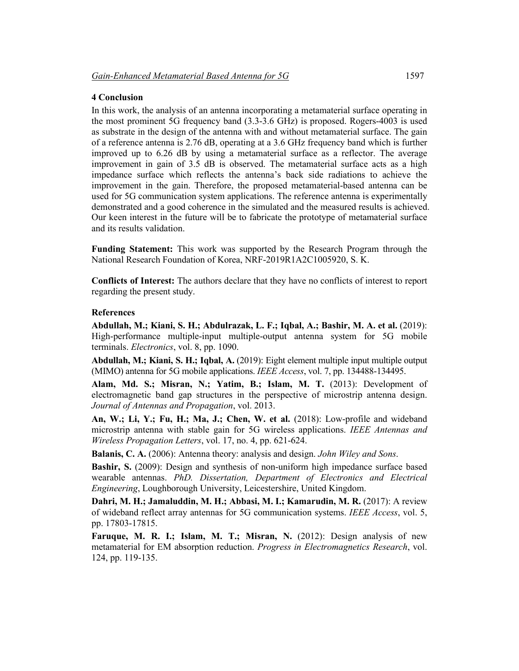# **4 Conclusion**

In this work, the analysis of an antenna incorporating a metamaterial surface operating in the most prominent 5G frequency band (3.3-3.6 GHz) is proposed. Rogers-4003 is used as substrate in the design of the antenna with and without metamaterial surface. The gain of a reference antenna is 2.76 dB, operating at a 3.6 GHz frequency band which is further improved up to 6.26 dB by using a metamaterial surface as a reflector. The average improvement in gain of 3.5 dB is observed. The metamaterial surface acts as a high impedance surface which reflects the antenna's back side radiations to achieve the improvement in the gain. Therefore, the proposed metamaterial-based antenna can be used for 5G communication system applications. The reference antenna is experimentally demonstrated and a good coherence in the simulated and the measured results is achieved. Our keen interest in the future will be to fabricate the prototype of metamaterial surface and its results validation.

**Funding Statement:** This work was supported by the Research Program through the National Research Foundation of Korea, NRF-2019R1A2C1005920, S. K.

**Conflicts of Interest:** The authors declare that they have no conflicts of interest to report regarding the present study.

# **References**

**Abdullah, M.; Kiani, S. H.; Abdulrazak, L. F.; Iqbal, A.; Bashir, M. A. et al.** (2019): High-performance multiple-input multiple-output antenna system for 5G mobile terminals. *Electronics*, vol. 8, pp. 1090.

**Abdullah, M.; Kiani, S. H.; Iqbal, A.** (2019): Eight element multiple input multiple output (MIMO) antenna for 5G mobile applications. *IEEE Access*, vol. 7, pp. 134488-134495.

**Alam, Md. S.; Misran, N.; Yatim, B.; Islam, M. T.** (2013): Development of electromagnetic band gap structures in the perspective of microstrip antenna design. *Journal of Antennas and Propagation*, vol. 2013.

**An, W.; Li, Y.; Fu, H.; Ma, J.; Chen, W. et al.** (2018): Low-profile and wideband microstrip antenna with stable gain for 5G wireless applications. *IEEE Antennas and Wireless Propagation Letters*, vol. 17, no. 4, pp. 621-624.

**Balanis, C. A.** (2006): Antenna theory: analysis and design. *John Wiley and Sons*.

**Bashir, S.** (2009): Design and synthesis of non-uniform high impedance surface based wearable antennas. *PhD. Dissertation, Department of Electronics and Electrical Engineering*, Loughborough University, Leicestershire, United Kingdom.

Dahri, M. H.; Jamaluddin, M. H.; Abbasi, M. I.; Kamarudin, M. R. (2017): A review of wideband reflect array antennas for 5G communication systems. *IEEE Access*, vol. 5, pp. 17803-17815.

**Faruque, M. R. I.; Islam, M. T.; Misran, N.** (2012): Design analysis of new metamaterial for EM absorption reduction. *Progress in Electromagnetics Research*, vol. 124, pp. 119-135.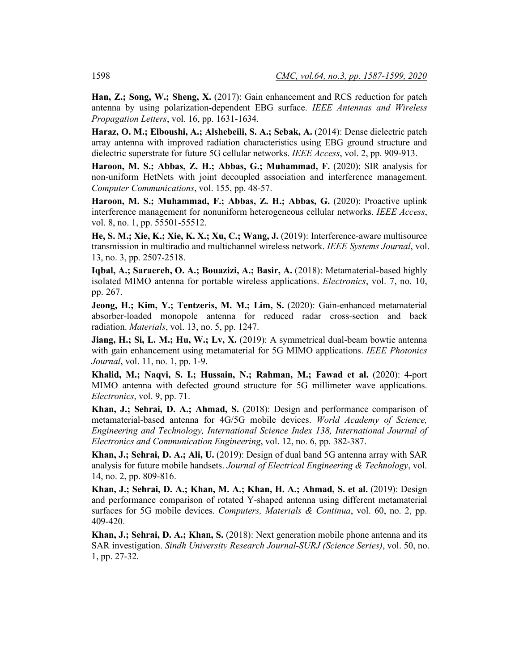**Han, Z.; Song, W.; Sheng, X.** (2017): Gain enhancement and RCS reduction for patch antenna by using polarization-dependent EBG surface. *IEEE Antennas and Wireless Propagation Letters*, vol. 16, pp. 1631-1634.

**Haraz, O. M.; Elboushi, A.; Alshebeili, S. A.; Sebak, A.** (2014): Dense dielectric patch array antenna with improved radiation characteristics using EBG ground structure and dielectric superstrate for future 5G cellular networks. *IEEE Access*, vol. 2, pp. 909-913.

**Haroon, M. S.; Abbas, Z. H.; Abbas, G.; Muhammad, F.** (2020): SIR [analysis](https://www.evise.com/co-author/?dgcid=invite_email_coauthoroutreach01403664#/COMCOM/submission/COMCOM_2019_948) for non-uniform HetNets with joint decoupled association and interference [management.](https://www.evise.com/co-author/?dgcid=invite_email_coauthoroutreach01403664#/COMCOM/submission/COMCOM_2019_948)  *Computer Communications*, vol. 155, pp. 48-57.

**Haroon, M. S.; Muhammad, F.; Abbas, Z. H.; Abbas, G.** (2020): Proactive uplink interference management for nonuniform heterogeneous cellular networks. *IEEE Access*, vol. 8, no. 1, pp. 55501-55512.

**He, S. M.; Xie, K.; Xie, K. X.; Xu, C.; Wang, J.** (2019): Interference-aware multisource transmission in multiradio and multichannel wireless network. *IEEE Systems Journal*, vol. 13, no. 3, pp. 2507-2518.

**Iqbal, A.; Saraereh, O. A.; Bouazizi, A.; Basir, A.** (2018): Metamaterial-based highly isolated MIMO antenna for portable wireless applications. *Electronics*, vol. 7, no. 10, pp. 267.

**Jeong, H.; Kim, Y.; Tentzeris, M. M.; Lim, S.** (2020): Gain-enhanced metamaterial absorber-loaded monopole antenna for reduced radar cross-section and back radiation. *Materials*, vol. 13, no. 5, pp. 1247.

**Jiang, H.; Si, L. M.; Hu, W.; Lv, X.** (2019): A symmetrical dual-beam bowtie antenna with gain enhancement using metamaterial for 5G MIMO applications. *IEEE Photonics Journal*, vol. 11, no. 1, pp. 1-9.

**Khalid, M.; Naqvi, S. I.; Hussain, N.; Rahman, M.; Fawad et al.** (2020): 4-port MIMO antenna with defected ground structure for 5G millimeter wave applications. *Electronics*, vol. 9, pp. 71.

**Khan, J.; Sehrai, D. A.; Ahmad, S.** (2018): Design and performance comparison of metamaterial-based antenna for 4G/5G mobile devices. *World Academy of Science, Engineering and Technology, International Science Index 138, International Journal of Electronics and Communication Engineering*, vol. 12, no. 6, pp. 382-387.

**Khan, J.; Sehrai, D. A.; Ali, U.** (2019): Design of dual band 5G antenna array with SAR analysis for future mobile handsets. *Journal of Electrical Engineering & Technology*, vol. 14, no. 2, pp. 809-816.

**Khan, J.; Sehrai, D. A.; Khan, M. A.; Khan, H. A.; Ahmad, S. et al.** (2019): Design and performance comparison of rotated Y-shaped antenna using different metamaterial surfaces for 5G mobile devices. *Computers, Materials & Continua*, vol. 60, no. 2, pp. 409-420.

**Khan, J.; Sehrai, D. A.; Khan, S.** (2018): Next generation mobile phone antenna and its SAR investigation. *Sindh University Research Journal-SURJ (Science Series)*, vol. 50, no. 1, pp. 27-32.